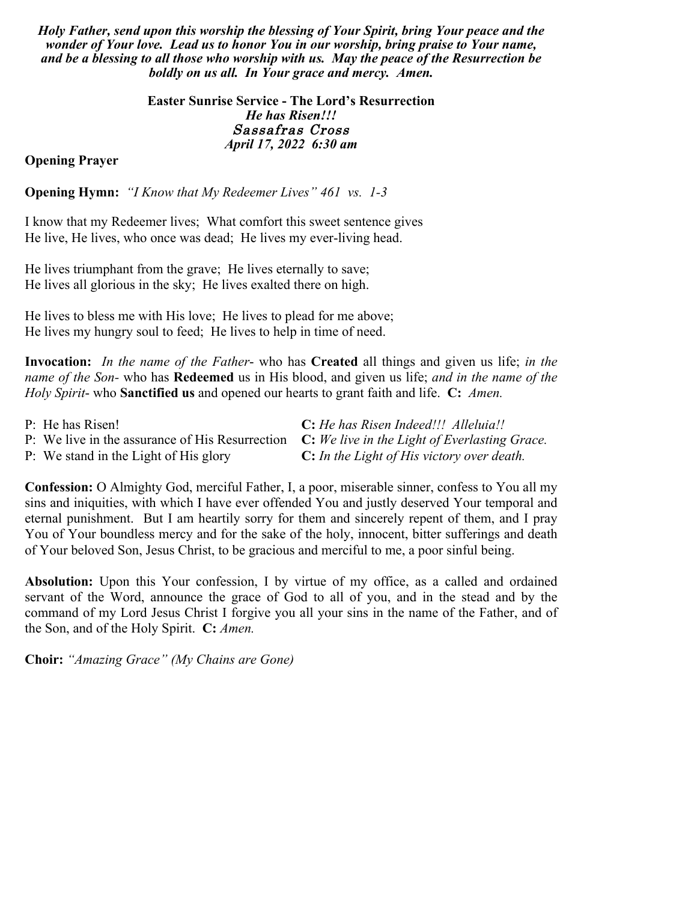*Holy Father, send upon this worship the blessing of Your Spirit, bring Your peace and the wonder of Your love. Lead us to honor You in our worship, bring praise to Your name, and be a blessing to all those who worship with us. May the peace of the Resurrection be boldly on us all. In Your grace and mercy. Amen.*

> **Easter Sunrise Service - The Lord's Resurrection** *He has Risen!!!* Sassafras Cross *April 17, 2022 6:30 am*

### **Opening Prayer**

**Opening Hymn:** *"I Know that My Redeemer Lives" 461 vs. 1-3*

I know that my Redeemer lives; What comfort this sweet sentence gives He live, He lives, who once was dead; He lives my ever-living head.

He lives triumphant from the grave; He lives eternally to save; He lives all glorious in the sky; He lives exalted there on high.

He lives to bless me with His love; He lives to plead for me above; He lives my hungry soul to feed; He lives to help in time of need.

**Invocation:** *In the name of the Father*- who has **Created** all things and given us life; *in the name of the Son-* who has **Redeemed** us in His blood, and given us life; *and in the name of the Holy Spirit*- who **Sanctified us** and opened our hearts to grant faith and life. **C:** *Amen.*

| P: He has Risen!                      | C: He has Risen Indeed!!! Alleluia!!                                                          |
|---------------------------------------|-----------------------------------------------------------------------------------------------|
|                                       | P: We live in the assurance of His Resurrection C: We live in the Light of Everlasting Grace. |
| P: We stand in the Light of His glory | <b>C:</b> In the Light of His victory over death.                                             |

**Confession:** O Almighty God, merciful Father, I, a poor, miserable sinner, confess to You all my sins and iniquities, with which I have ever offended You and justly deserved Your temporal and eternal punishment. But I am heartily sorry for them and sincerely repent of them, and I pray You of Your boundless mercy and for the sake of the holy, innocent, bitter sufferings and death of Your beloved Son, Jesus Christ, to be gracious and merciful to me, a poor sinful being.

**Absolution:** Upon this Your confession, I by virtue of my office, as a called and ordained servant of the Word, announce the grace of God to all of you, and in the stead and by the command of my Lord Jesus Christ I forgive you all your sins in the name of the Father, and of the Son, and of the Holy Spirit. **C:** *Amen.*

**Choir:** *"Amazing Grace" (My Chains are Gone)*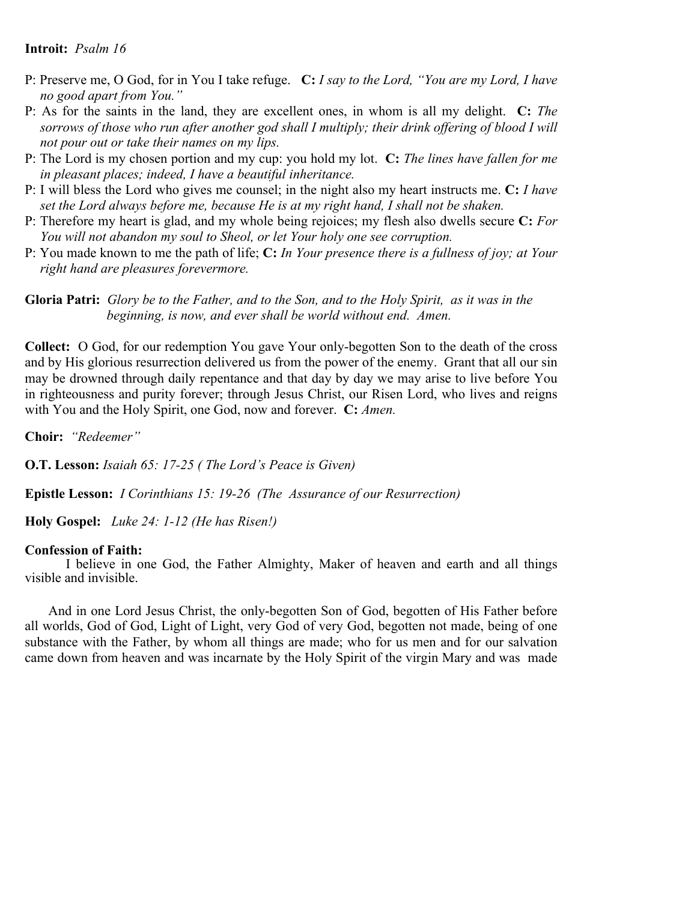### **Introit:** *Psalm 16*

- P: Preserve me, O God, for in You I take refuge. **C:** *I say to the Lord, "You are my Lord, I have no good apart from You."*
- P: As for the saints in the land, they are excellent ones, in whom is all my delight. **C:** *The sorrows of those who run after another god shall I multiply; their drink offering of blood I will not pour out or take their names on my lips.*
- P: The Lord is my chosen portion and my cup: you hold my lot. **C:** *The lines have fallen for me in pleasant places; indeed, I have a beautiful inheritance.*
- P: I will bless the Lord who gives me counsel; in the night also my heart instructs me. **C:** *I have set the Lord always before me, because He is at my right hand, I shall not be shaken.*
- P: Therefore my heart is glad, and my whole being rejoices; my flesh also dwells secure **C:** *For You will not abandon my soul to Sheol, or let Your holy one see corruption.*
- P: You made known to me the path of life; **C:** *In Your presence there is a fullness of joy; at Your right hand are pleasures forevermore.*

### **Gloria Patri:** *Glory be to the Father, and to the Son, and to the Holy Spirit, as it was in the beginning, is now, and ever shall be world without end. Amen.*

**Collect:** O God, for our redemption You gave Your only-begotten Son to the death of the cross and by His glorious resurrection delivered us from the power of the enemy. Grant that all our sin may be drowned through daily repentance and that day by day we may arise to live before You in righteousness and purity forever; through Jesus Christ, our Risen Lord, who lives and reigns with You and the Holy Spirit, one God, now and forever. **C:** *Amen.* 

**Choir:** *"Redeemer"* 

**O.T. Lesson:** *Isaiah 65: 17-25 ( The Lord's Peace is Given)*

**Epistle Lesson:** *I Corinthians 15: 19-26 (The Assurance of our Resurrection)*

**Holy Gospel:** *Luke 24: 1-12 (He has Risen!)* 

#### **Confession of Faith:**

I believe in one God, the Father Almighty, Maker of heaven and earth and all things visible and invisible.

And in one Lord Jesus Christ, the only-begotten Son of God, begotten of His Father before all worlds, God of God, Light of Light, very God of very God, begotten not made, being of one substance with the Father, by whom all things are made; who for us men and for our salvation came down from heaven and was incarnate by the Holy Spirit of the virgin Mary and was made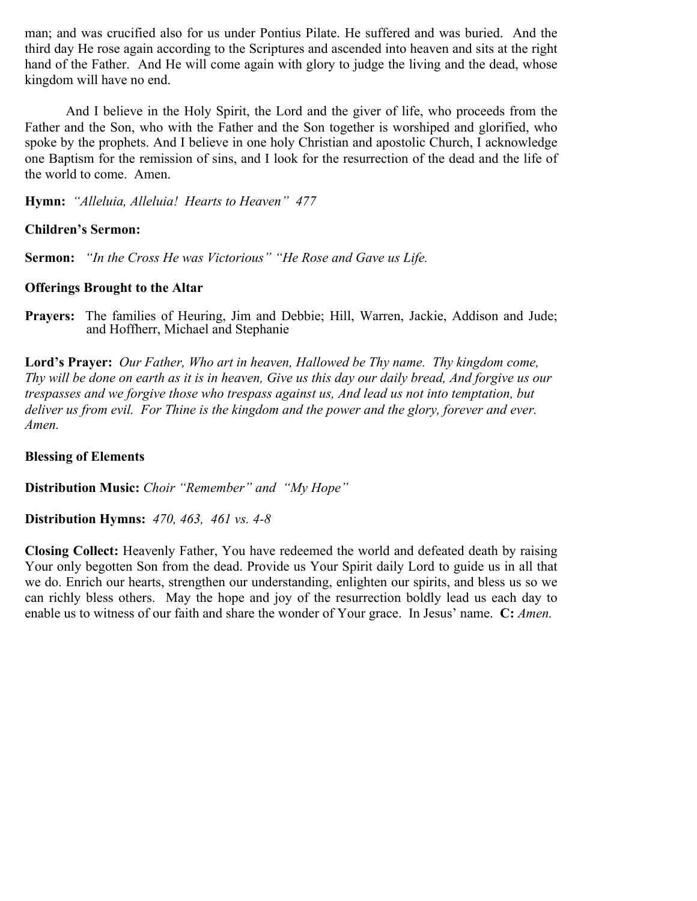man; and was crucified also for us under Pontius Pilate. He suffered and was buried. And the third day He rose again according to the Scriptures and ascended into heaven and sits at the right hand of the Father. And He will come again with glory to judge the living and the dead, whose kingdom will have no end.

And I believe in the Holy Spirit, the Lord and the giver of life, who proceeds from the Father and the Son, who with the Father and the Son together is worshiped and glorified, who spoke by the prophets. And I believe in one holy Christian and apostolic Church, I acknowledge one Baptism for the remission of sins, and I look for the resurrection of the dead and the life of the world to come. Amen.

**Hymn:** *"Alleluia, Alleluia! Hearts to Heaven" 477*

### **Children's Sermon:**

**Sermon:** *"In the Cross He was Victorious" "He Rose and Gave us Life.*

### **Offerings Brought to the Altar**

**Prayers:** The families of Heuring, Jim and Debbie; Hill, Warren, Jackie, Addison and Jude; and Hoffherr, Michael and Stephanie

**Lord's Prayer:** *Our Father, Who art in heaven, Hallowed be Thy name. Thy kingdom come, Thy will be done on earth as it is in heaven, Give us this day our daily bread, And forgive us our trespasses and we forgive those who trespass against us, And lead us not into temptation, but deliver us from evil. For Thine is the kingdom and the power and the glory, forever and ever. Amen.* 

### **Blessing of Elements**

**Distribution Music:** *Choir "Remember" and "My Hope"* 

**Distribution Hymns:** *470, 463, 461 vs. 4-8* 

**Closing Collect:** Heavenly Father, You have redeemed the world and defeated death by raising Your only begotten Son from the dead. Provide us Your Spirit daily Lord to guide us in all that we do. Enrich our hearts, strengthen our understanding, enlighten our spirits, and bless us so we can richly bless others. May the hope and joy of the resurrection boldly lead us each day to enable us to witness of our faith and share the wonder of Your grace. In Jesus' name. **C:** *Amen.*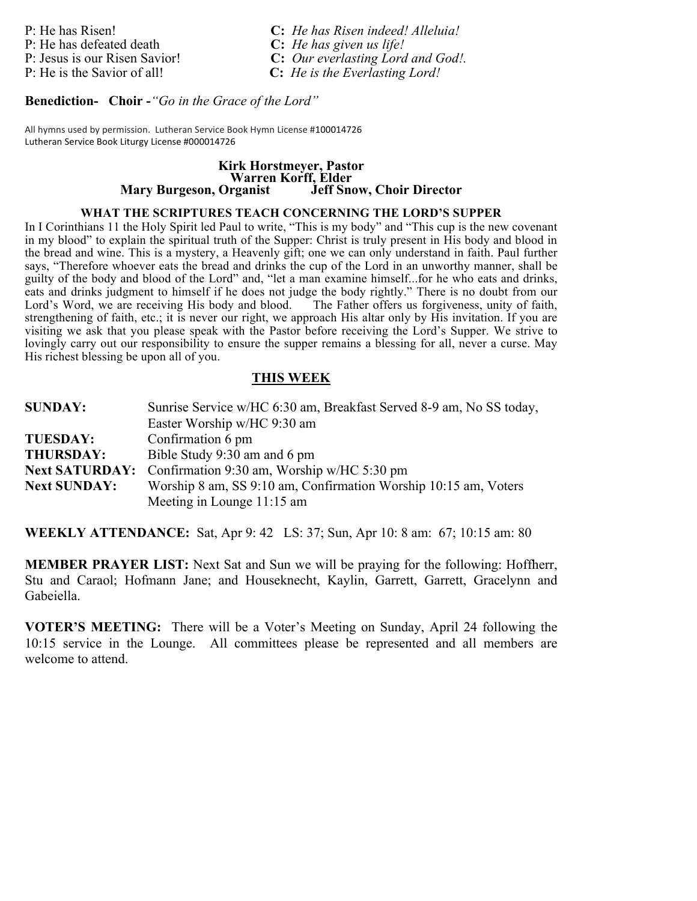P: He has defeated death

P: He has Risen!<br> **C:** *He has Risen indeed! Alleluia!*<br> **C:** *He has given us life!* P: Jesus is our Risen Savior! **C:** *Our everlasting Lord and God!.*  P: He is the Savior of all! **C:** *He is the Everlasting Lord!*

**Benediction- Choir -***"Go in the Grace of the Lord"*

All hymns used by permission. Lutheran Service Book Hymn License #100014726 Lutheran Service Book Liturgy License #000014726

# **Kirk Horstmeyer, Pastor Warren Korff, Elder Mary Burgeson, Organist**

### **WHAT THE SCRIPTURES TEACH CONCERNING THE LORD'S SUPPER**

In I Corinthians 11 the Holy Spirit led Paul to write, "This is my body" and "This cup is the new covenant in my blood" to explain the spiritual truth of the Supper: Christ is truly present in His body and blood in the bread and wine. This is a mystery, a Heavenly gift; one we can only understand in faith. Paul further says, "Therefore whoever eats the bread and drinks the cup of the Lord in an unworthy manner, shall be guilty of the body and blood of the Lord" and, "let a man examine himself...for he who eats and drinks, eats and drinks judgment to himself if he does not judge the body rightly." There is no doubt from our Lord's Word, we are receiving His body and blood. The Father offers us forgiveness, unity of faith, strengthening of faith, etc.; it is never our right, we approach His altar only by His invitation. If you are visiting we ask that you please speak with the Pastor before receiving the Lord's Supper. We strive to lovingly carry out our responsibility to ensure the supper remains a blessing for all, never a curse. May His richest blessing be upon all of you.

### **THIS WEEK**

| <b>SUNDAY:</b>      | Sunrise Service w/HC 6:30 am, Breakfast Served 8-9 am, No SS today, |
|---------------------|---------------------------------------------------------------------|
|                     | Easter Worship w/HC 9:30 am                                         |
| <b>TUESDAY:</b>     | Confirmation 6 pm                                                   |
| <b>THURSDAY:</b>    | Bible Study 9:30 am and 6 pm                                        |
|                     | Next SATURDAY: Confirmation 9:30 am, Worship w/HC 5:30 pm           |
| <b>Next SUNDAY:</b> | Worship 8 am, SS 9:10 am, Confirmation Worship 10:15 am, Voters     |
|                     | Meeting in Lounge 11:15 am                                          |

**WEEKLY ATTENDANCE:** Sat, Apr 9: 42 LS: 37; Sun, Apr 10: 8 am: 67; 10:15 am: 80

**MEMBER PRAYER LIST:** Next Sat and Sun we will be praying for the following: Hoffherr, Stu and Caraol; Hofmann Jane; and Houseknecht, Kaylin, Garrett, Garrett, Gracelynn and Gabeiella.

**VOTER'S MEETING:** There will be a Voter's Meeting on Sunday, April 24 following the 10:15 service in the Lounge. All committees please be represented and all members are welcome to attend.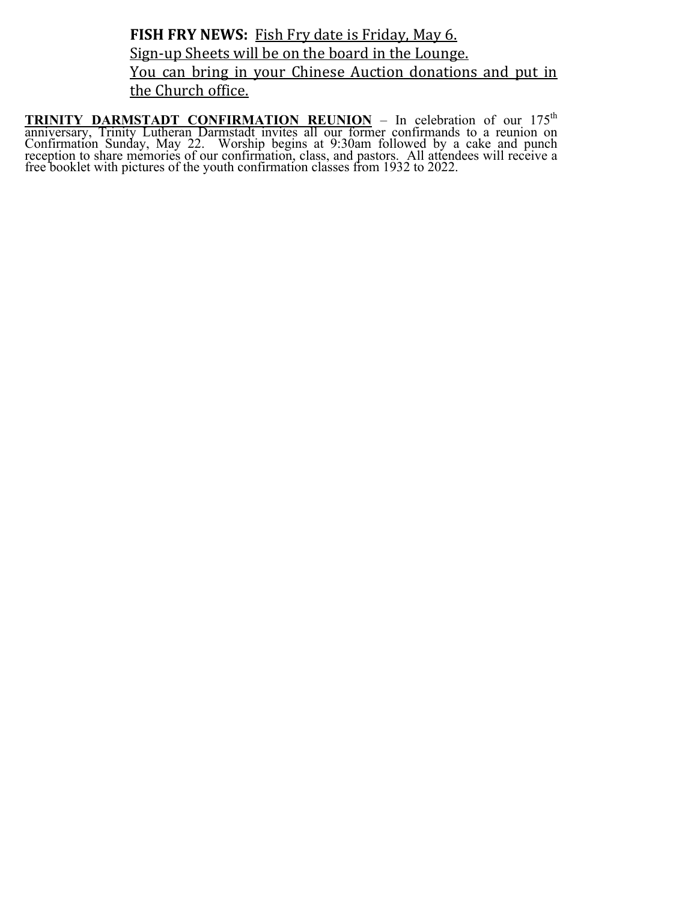FISH FRY NEWS: Fish Fry date is Friday, May 6. Sign-up Sheets will be on the board in the Lounge. You can bring in your Chinese Auction donations and put in the Church office.

**TRINITY DARMSTADT CONFIRMATION REUNION** – In celebration of our 175th anniversary, Trinity Lutheran Darmstadt invites all our former confirmands to a reunion on Confirmation Sunday, May 22. Worship begins at 9:30am followed by a cake and punch reception to share memories of our confirmation, class, and pastors. All attendees will receive a free booklet with pictures of the youth confirmation classes from 1932 to 2022.